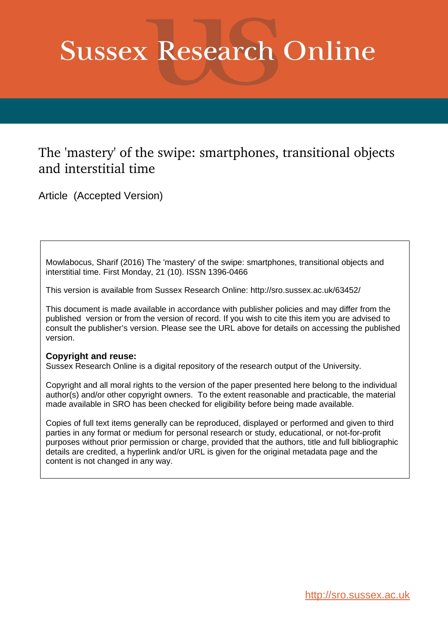# **Sussex Research Online**

# The 'mastery' of the swipe: smartphones, transitional objects and interstitial time

Article (Accepted Version)

Mowlabocus, Sharif (2016) The 'mastery' of the swipe: smartphones, transitional objects and interstitial time. First Monday, 21 (10). ISSN 1396-0466

This version is available from Sussex Research Online: http://sro.sussex.ac.uk/63452/

This document is made available in accordance with publisher policies and may differ from the published version or from the version of record. If you wish to cite this item you are advised to consult the publisher's version. Please see the URL above for details on accessing the published version.

# **Copyright and reuse:**

Sussex Research Online is a digital repository of the research output of the University.

Copyright and all moral rights to the version of the paper presented here belong to the individual author(s) and/or other copyright owners. To the extent reasonable and practicable, the material made available in SRO has been checked for eligibility before being made available.

Copies of full text items generally can be reproduced, displayed or performed and given to third parties in any format or medium for personal research or study, educational, or not-for-profit purposes without prior permission or charge, provided that the authors, title and full bibliographic details are credited, a hyperlink and/or URL is given for the original metadata page and the content is not changed in any way.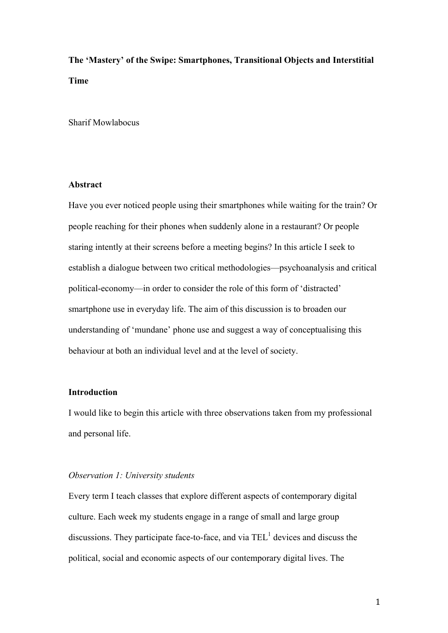**The 'Mastery' of the Swipe: Smartphones, Transitional Objects and Interstitial Time**

Sharif Mowlabocus

# **Abstract**

Have you ever noticed people using their smartphones while waiting for the train? Or people reaching for their phones when suddenly alone in a restaurant? Or people staring intently at their screens before a meeting begins? In this article I seek to establish a dialogue between two critical methodologies—psychoanalysis and critical political-economy—in order to consider the role of this form of 'distracted' smartphone use in everyday life. The aim of this discussion is to broaden our understanding of 'mundane' phone use and suggest a way of conceptualising this behaviour at both an individual level and at the level of society.

# **Introduction**

I would like to begin this article with three observations taken from my professional and personal life.

#### *Observation 1: University students*

Every term I teach classes that explore different aspects of contemporary digital culture. Each week my students engage in a range of small and large group discussions. They participate face-to-face, and via  $TEL<sup>1</sup>$  devices and discuss the political, social and economic aspects of our contemporary digital lives. The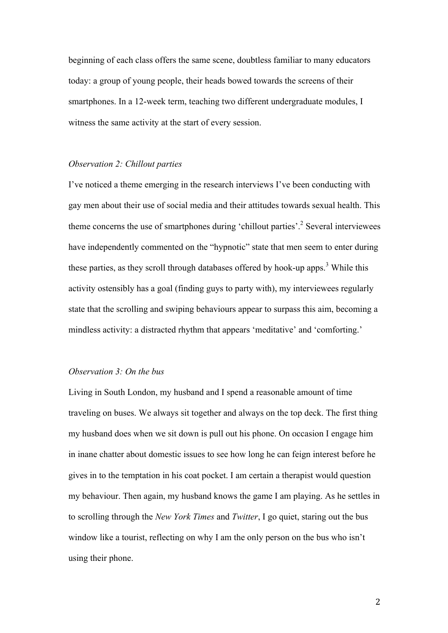beginning of each class offers the same scene, doubtless familiar to many educators today: a group of young people, their heads bowed towards the screens of their smartphones. In a 12-week term, teaching two different undergraduate modules, I witness the same activity at the start of every session.

#### *Observation 2: Chillout parties*

I've noticed a theme emerging in the research interviews I've been conducting with gay men about their use of social media and their attitudes towards sexual health. This theme concerns the use of smartphones during 'chillout parties'. 2 Several interviewees have independently commented on the "hypnotic" state that men seem to enter during these parties, as they scroll through databases offered by hook-up apps.<sup>3</sup> While this activity ostensibly has a goal (finding guys to party with), my interviewees regularly state that the scrolling and swiping behaviours appear to surpass this aim, becoming a mindless activity: a distracted rhythm that appears 'meditative' and 'comforting.'

#### *Observation 3: On the bus*

Living in South London, my husband and I spend a reasonable amount of time traveling on buses. We always sit together and always on the top deck. The first thing my husband does when we sit down is pull out his phone. On occasion I engage him in inane chatter about domestic issues to see how long he can feign interest before he gives in to the temptation in his coat pocket. I am certain a therapist would question my behaviour. Then again, my husband knows the game I am playing. As he settles in to scrolling through the *New York Times* and *Twitter*, I go quiet, staring out the bus window like a tourist, reflecting on why I am the only person on the bus who isn't using their phone.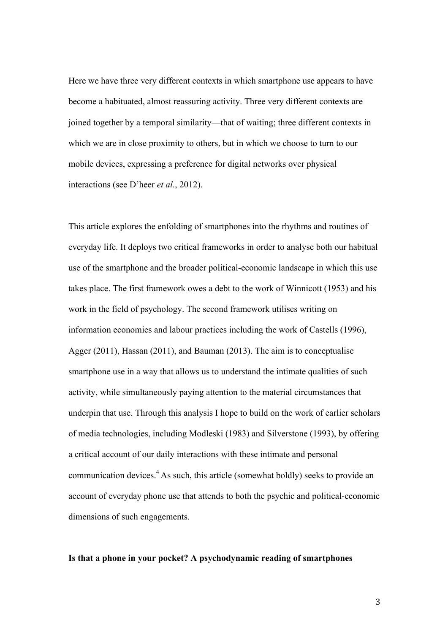Here we have three very different contexts in which smartphone use appears to have become a habituated, almost reassuring activity. Three very different contexts are joined together by a temporal similarity—that of waiting; three different contexts in which we are in close proximity to others, but in which we choose to turn to our mobile devices, expressing a preference for digital networks over physical interactions (see D'heer *et al.*, 2012).

This article explores the enfolding of smartphones into the rhythms and routines of everyday life. It deploys two critical frameworks in order to analyse both our habitual use of the smartphone and the broader political-economic landscape in which this use takes place. The first framework owes a debt to the work of Winnicott (1953) and his work in the field of psychology. The second framework utilises writing on information economies and labour practices including the work of Castells (1996), Agger (2011), Hassan (2011), and Bauman (2013). The aim is to conceptualise smartphone use in a way that allows us to understand the intimate qualities of such activity, while simultaneously paying attention to the material circumstances that underpin that use. Through this analysis I hope to build on the work of earlier scholars of media technologies, including Modleski (1983) and Silverstone (1993), by offering a critical account of our daily interactions with these intimate and personal communication devices. <sup>4</sup> As such, this article (somewhat boldly) seeks to provide an account of everyday phone use that attends to both the psychic and political-economic dimensions of such engagements.

#### **Is that a phone in your pocket? A psychodynamic reading of smartphones**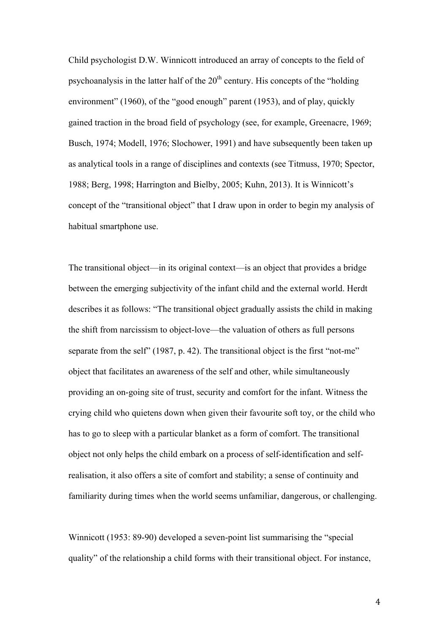Child psychologist D.W. Winnicott introduced an array of concepts to the field of psychoanalysis in the latter half of the  $20<sup>th</sup>$  century. His concepts of the "holding" environment" (1960), of the "good enough" parent (1953), and of play, quickly gained traction in the broad field of psychology (see, for example, Greenacre, 1969; Busch, 1974; Modell, 1976; Slochower, 1991) and have subsequently been taken up as analytical tools in a range of disciplines and contexts (see Titmuss, 1970; Spector, 1988; Berg, 1998; Harrington and Bielby, 2005; Kuhn, 2013). It is Winnicott's concept of the "transitional object" that I draw upon in order to begin my analysis of habitual smartphone use.

The transitional object—in its original context—is an object that provides a bridge between the emerging subjectivity of the infant child and the external world. Herdt describes it as follows: "The transitional object gradually assists the child in making the shift from narcissism to object-love—the valuation of others as full persons separate from the self" (1987, p. 42). The transitional object is the first "not-me" object that facilitates an awareness of the self and other, while simultaneously providing an on-going site of trust, security and comfort for the infant. Witness the crying child who quietens down when given their favourite soft toy, or the child who has to go to sleep with a particular blanket as a form of comfort. The transitional object not only helps the child embark on a process of self-identification and selfrealisation, it also offers a site of comfort and stability; a sense of continuity and familiarity during times when the world seems unfamiliar, dangerous, or challenging.

Winnicott (1953: 89-90) developed a seven-point list summarising the "special quality" of the relationship a child forms with their transitional object. For instance,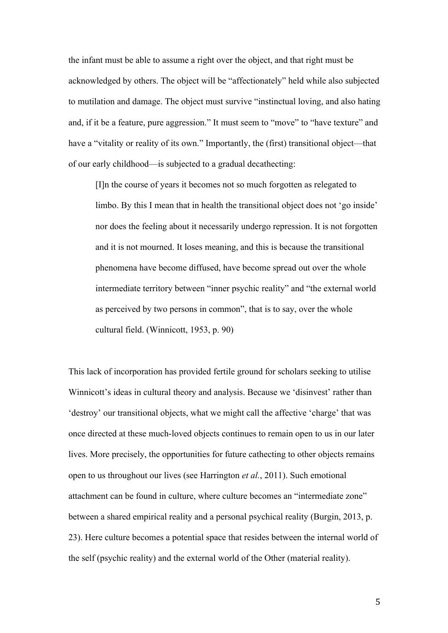the infant must be able to assume a right over the object, and that right must be acknowledged by others. The object will be "affectionately" held while also subjected to mutilation and damage. The object must survive "instinctual loving, and also hating and, if it be a feature, pure aggression." It must seem to "move" to "have texture" and have a "vitality or reality of its own." Importantly, the (first) transitional object—that of our early childhood—is subjected to a gradual decathecting:

[I]n the course of years it becomes not so much forgotten as relegated to limbo. By this I mean that in health the transitional object does not 'go inside' nor does the feeling about it necessarily undergo repression. It is not forgotten and it is not mourned. It loses meaning, and this is because the transitional phenomena have become diffused, have become spread out over the whole intermediate territory between "inner psychic reality" and "the external world as perceived by two persons in common", that is to say, over the whole cultural field. (Winnicott, 1953, p. 90)

This lack of incorporation has provided fertile ground for scholars seeking to utilise Winnicott's ideas in cultural theory and analysis. Because we 'disinvest' rather than 'destroy' our transitional objects, what we might call the affective 'charge' that was once directed at these much-loved objects continues to remain open to us in our later lives. More precisely, the opportunities for future cathecting to other objects remains open to us throughout our lives (see Harrington *et al.*, 2011). Such emotional attachment can be found in culture, where culture becomes an "intermediate zone" between a shared empirical reality and a personal psychical reality (Burgin, 2013, p. 23). Here culture becomes a potential space that resides between the internal world of the self (psychic reality) and the external world of the Other (material reality).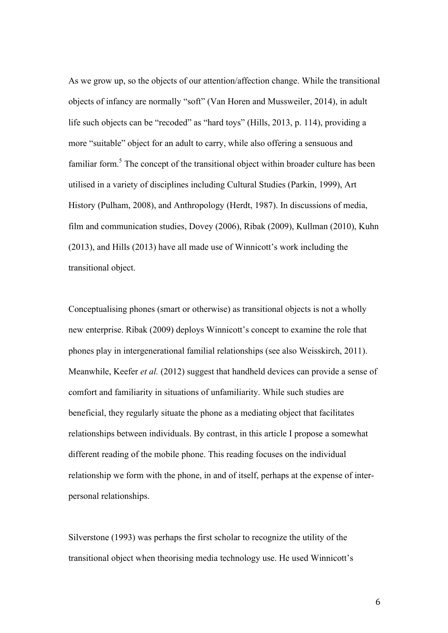As we grow up, so the objects of our attention/affection change. While the transitional objects of infancy are normally "soft" (Van Horen and Mussweiler, 2014), in adult life such objects can be "recoded" as "hard toys" (Hills, 2013, p. 114), providing a more "suitable" object for an adult to carry, while also offering a sensuous and familiar form.<sup>5</sup> The concept of the transitional object within broader culture has been utilised in a variety of disciplines including Cultural Studies (Parkin, 1999), Art History (Pulham, 2008), and Anthropology (Herdt, 1987). In discussions of media, film and communication studies, Dovey (2006), Ribak (2009), Kullman (2010), Kuhn (2013), and Hills (2013) have all made use of Winnicott's work including the transitional object.

Conceptualising phones (smart or otherwise) as transitional objects is not a wholly new enterprise. Ribak (2009) deploys Winnicott's concept to examine the role that phones play in intergenerational familial relationships (see also Weisskirch, 2011). Meanwhile, Keefer *et al.* (2012) suggest that handheld devices can provide a sense of comfort and familiarity in situations of unfamiliarity. While such studies are beneficial, they regularly situate the phone as a mediating object that facilitates relationships between individuals. By contrast, in this article I propose a somewhat different reading of the mobile phone. This reading focuses on the individual relationship we form with the phone, in and of itself, perhaps at the expense of interpersonal relationships.

Silverstone (1993) was perhaps the first scholar to recognize the utility of the transitional object when theorising media technology use. He used Winnicott's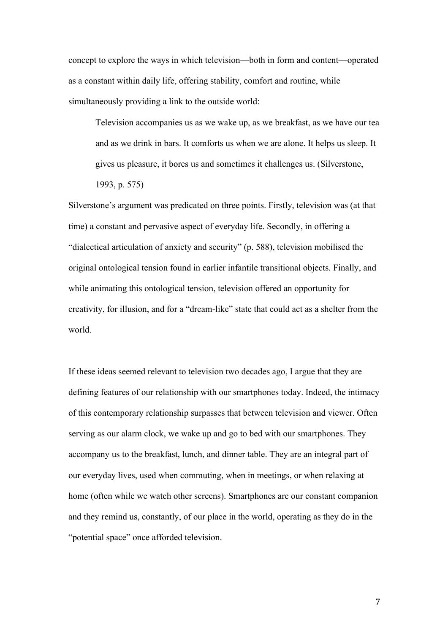concept to explore the ways in which television—both in form and content—operated as a constant within daily life, offering stability, comfort and routine, while simultaneously providing a link to the outside world:

Television accompanies us as we wake up, as we breakfast, as we have our tea and as we drink in bars. It comforts us when we are alone. It helps us sleep. It gives us pleasure, it bores us and sometimes it challenges us. (Silverstone, 1993, p. 575)

Silverstone's argument was predicated on three points. Firstly, television was (at that time) a constant and pervasive aspect of everyday life. Secondly, in offering a "dialectical articulation of anxiety and security" (p. 588), television mobilised the original ontological tension found in earlier infantile transitional objects. Finally, and while animating this ontological tension, television offered an opportunity for creativity, for illusion, and for a "dream-like" state that could act as a shelter from the world.

If these ideas seemed relevant to television two decades ago, I argue that they are defining features of our relationship with our smartphones today. Indeed, the intimacy of this contemporary relationship surpasses that between television and viewer. Often serving as our alarm clock, we wake up and go to bed with our smartphones. They accompany us to the breakfast, lunch, and dinner table. They are an integral part of our everyday lives, used when commuting, when in meetings, or when relaxing at home (often while we watch other screens). Smartphones are our constant companion and they remind us, constantly, of our place in the world, operating as they do in the "potential space" once afforded television.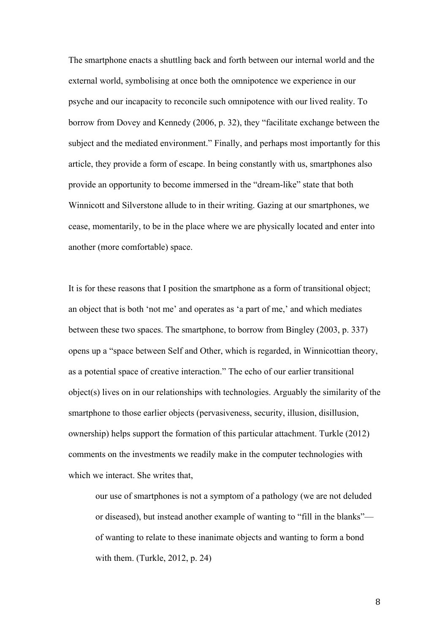The smartphone enacts a shuttling back and forth between our internal world and the external world, symbolising at once both the omnipotence we experience in our psyche and our incapacity to reconcile such omnipotence with our lived reality. To borrow from Dovey and Kennedy (2006, p. 32), they "facilitate exchange between the subject and the mediated environment." Finally, and perhaps most importantly for this article, they provide a form of escape. In being constantly with us, smartphones also provide an opportunity to become immersed in the "dream-like" state that both Winnicott and Silverstone allude to in their writing. Gazing at our smartphones, we cease, momentarily, to be in the place where we are physically located and enter into another (more comfortable) space.

It is for these reasons that I position the smartphone as a form of transitional object; an object that is both 'not me' and operates as 'a part of me,' and which mediates between these two spaces. The smartphone, to borrow from Bingley (2003, p. 337) opens up a "space between Self and Other, which is regarded, in Winnicottian theory, as a potential space of creative interaction." The echo of our earlier transitional object(s) lives on in our relationships with technologies. Arguably the similarity of the smartphone to those earlier objects (pervasiveness, security, illusion, disillusion, ownership) helps support the formation of this particular attachment. Turkle (2012) comments on the investments we readily make in the computer technologies with which we interact. She writes that,

our use of smartphones is not a symptom of a pathology (we are not deluded or diseased), but instead another example of wanting to "fill in the blanks" of wanting to relate to these inanimate objects and wanting to form a bond with them. (Turkle, 2012, p. 24)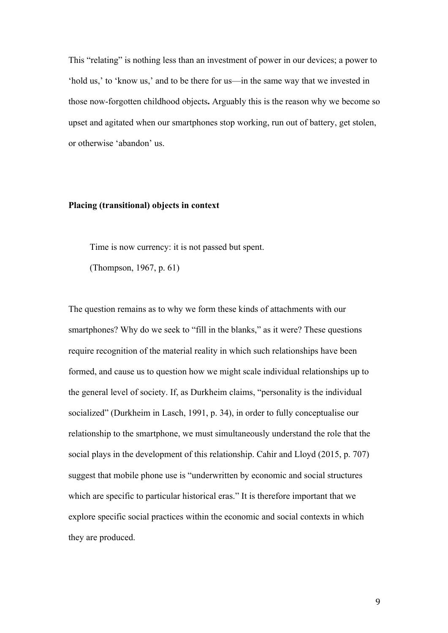This "relating" is nothing less than an investment of power in our devices; a power to 'hold us,' to 'know us,' and to be there for us—in the same way that we invested in those now-forgotten childhood objects**.** Arguably this is the reason why we become so upset and agitated when our smartphones stop working, run out of battery, get stolen, or otherwise 'abandon' us.

#### **Placing (transitional) objects in context**

Time is now currency: it is not passed but spent.

(Thompson, 1967, p. 61)

The question remains as to why we form these kinds of attachments with our smartphones? Why do we seek to "fill in the blanks," as it were? These questions require recognition of the material reality in which such relationships have been formed, and cause us to question how we might scale individual relationships up to the general level of society. If, as Durkheim claims, "personality is the individual socialized" (Durkheim in Lasch, 1991, p. 34), in order to fully conceptualise our relationship to the smartphone, we must simultaneously understand the role that the social plays in the development of this relationship. Cahir and Lloyd (2015, p. 707) suggest that mobile phone use is "underwritten by economic and social structures which are specific to particular historical eras." It is therefore important that we explore specific social practices within the economic and social contexts in which they are produced.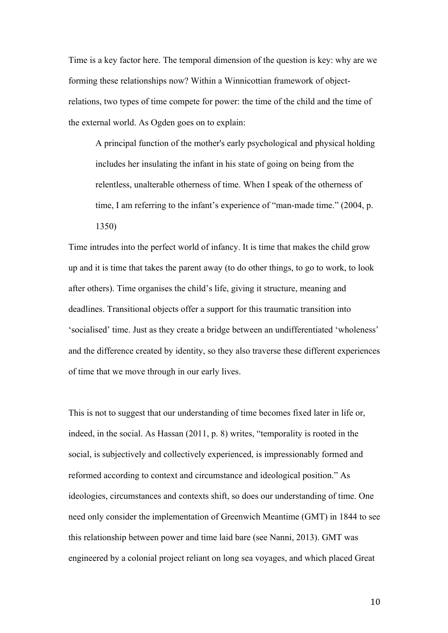Time is a key factor here. The temporal dimension of the question is key: why are we forming these relationships now? Within a Winnicottian framework of objectrelations, two types of time compete for power: the time of the child and the time of the external world. As Ogden goes on to explain:

A principal function of the mother's early psychological and physical holding includes her insulating the infant in his state of going on being from the relentless, unalterable otherness of time. When I speak of the otherness of time, I am referring to the infant's experience of "man-made time." (2004, p. 1350)

Time intrudes into the perfect world of infancy. It is time that makes the child grow up and it is time that takes the parent away (to do other things, to go to work, to look after others). Time organises the child's life, giving it structure, meaning and deadlines. Transitional objects offer a support for this traumatic transition into 'socialised' time. Just as they create a bridge between an undifferentiated 'wholeness' and the difference created by identity, so they also traverse these different experiences of time that we move through in our early lives.

This is not to suggest that our understanding of time becomes fixed later in life or, indeed, in the social. As Hassan (2011, p. 8) writes, "temporality is rooted in the social, is subjectively and collectively experienced, is impressionably formed and reformed according to context and circumstance and ideological position." As ideologies, circumstances and contexts shift, so does our understanding of time. One need only consider the implementation of Greenwich Meantime (GMT) in 1844 to see this relationship between power and time laid bare (see Nanni, 2013). GMT was engineered by a colonial project reliant on long sea voyages, and which placed Great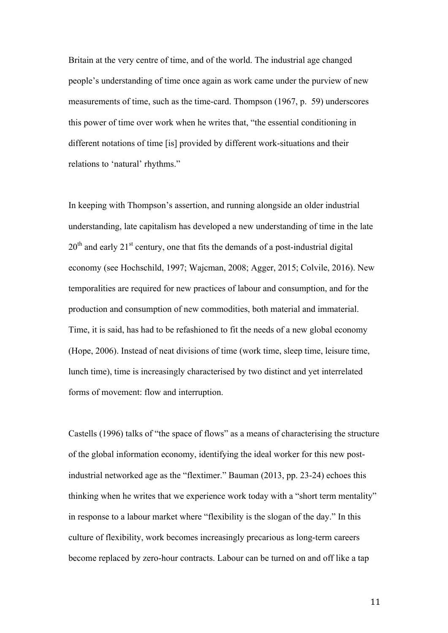Britain at the very centre of time, and of the world. The industrial age changed people's understanding of time once again as work came under the purview of new measurements of time, such as the time-card. Thompson (1967, p. 59) underscores this power of time over work when he writes that, "the essential conditioning in different notations of time [is] provided by different work-situations and their relations to 'natural' rhythms."

In keeping with Thompson's assertion, and running alongside an older industrial understanding, late capitalism has developed a new understanding of time in the late  $20<sup>th</sup>$  and early  $21<sup>st</sup>$  century, one that fits the demands of a post-industrial digital economy (see Hochschild, 1997; Wajcman, 2008; Agger, 2015; Colvile, 2016). New temporalities are required for new practices of labour and consumption, and for the production and consumption of new commodities, both material and immaterial. Time, it is said, has had to be refashioned to fit the needs of a new global economy (Hope, 2006). Instead of neat divisions of time (work time, sleep time, leisure time, lunch time), time is increasingly characterised by two distinct and yet interrelated forms of movement: flow and interruption.

Castells (1996) talks of "the space of flows" as a means of characterising the structure of the global information economy, identifying the ideal worker for this new postindustrial networked age as the "flextimer." Bauman (2013, pp. 23-24) echoes this thinking when he writes that we experience work today with a "short term mentality" in response to a labour market where "flexibility is the slogan of the day." In this culture of flexibility, work becomes increasingly precarious as long-term careers become replaced by zero-hour contracts. Labour can be turned on and off like a tap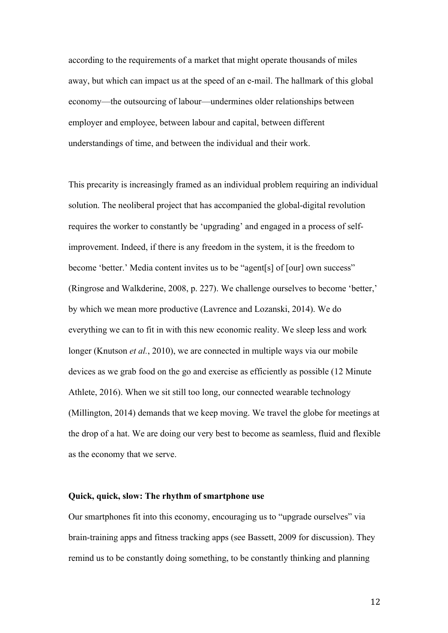according to the requirements of a market that might operate thousands of miles away, but which can impact us at the speed of an e-mail. The hallmark of this global economy—the outsourcing of labour—undermines older relationships between employer and employee, between labour and capital, between different understandings of time, and between the individual and their work.

This precarity is increasingly framed as an individual problem requiring an individual solution. The neoliberal project that has accompanied the global-digital revolution requires the worker to constantly be 'upgrading' and engaged in a process of selfimprovement. Indeed, if there is any freedom in the system, it is the freedom to become 'better.' Media content invites us to be "agent[s] of [our] own success" (Ringrose and Walkderine, 2008, p. 227). We challenge ourselves to become 'better,' by which we mean more productive (Lavrence and Lozanski, 2014). We do everything we can to fit in with this new economic reality. We sleep less and work longer (Knutson *et al.*, 2010), we are connected in multiple ways via our mobile devices as we grab food on the go and exercise as efficiently as possible (12 Minute Athlete, 2016). When we sit still too long, our connected wearable technology (Millington, 2014) demands that we keep moving. We travel the globe for meetings at the drop of a hat. We are doing our very best to become as seamless, fluid and flexible as the economy that we serve.

#### **Quick, quick, slow: The rhythm of smartphone use**

Our smartphones fit into this economy, encouraging us to "upgrade ourselves" via brain-training apps and fitness tracking apps (see Bassett, 2009 for discussion). They remind us to be constantly doing something, to be constantly thinking and planning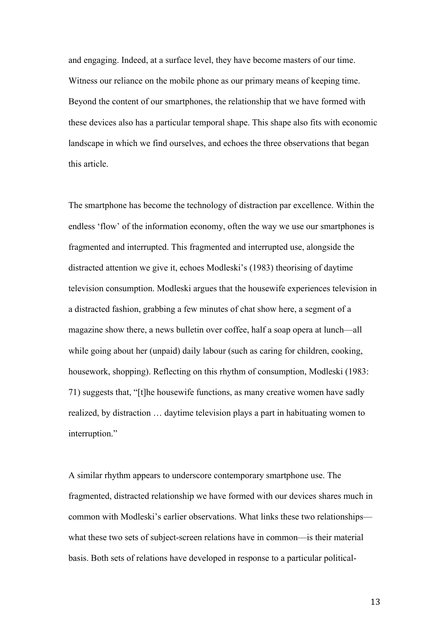and engaging. Indeed, at a surface level, they have become masters of our time. Witness our reliance on the mobile phone as our primary means of keeping time. Beyond the content of our smartphones, the relationship that we have formed with these devices also has a particular temporal shape. This shape also fits with economic landscape in which we find ourselves, and echoes the three observations that began this article.

The smartphone has become the technology of distraction par excellence. Within the endless 'flow' of the information economy, often the way we use our smartphones is fragmented and interrupted. This fragmented and interrupted use, alongside the distracted attention we give it, echoes Modleski's (1983) theorising of daytime television consumption. Modleski argues that the housewife experiences television in a distracted fashion, grabbing a few minutes of chat show here, a segment of a magazine show there, a news bulletin over coffee, half a soap opera at lunch—all while going about her (unpaid) daily labour (such as caring for children, cooking, housework, shopping). Reflecting on this rhythm of consumption, Modleski (1983: 71) suggests that, "[t]he housewife functions, as many creative women have sadly realized, by distraction … daytime television plays a part in habituating women to interruption."

A similar rhythm appears to underscore contemporary smartphone use. The fragmented, distracted relationship we have formed with our devices shares much in common with Modleski's earlier observations. What links these two relationships what these two sets of subject-screen relations have in common—is their material basis. Both sets of relations have developed in response to a particular political-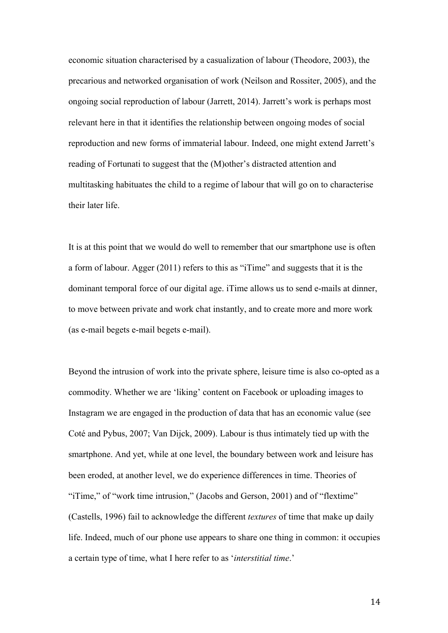economic situation characterised by a casualization of labour (Theodore, 2003), the precarious and networked organisation of work (Neilson and Rossiter, 2005), and the ongoing social reproduction of labour (Jarrett, 2014). Jarrett's work is perhaps most relevant here in that it identifies the relationship between ongoing modes of social reproduction and new forms of immaterial labour. Indeed, one might extend Jarrett's reading of Fortunati to suggest that the (M)other's distracted attention and multitasking habituates the child to a regime of labour that will go on to characterise their later life.

It is at this point that we would do well to remember that our smartphone use is often a form of labour. Agger (2011) refers to this as "iTime" and suggests that it is the dominant temporal force of our digital age. iTime allows us to send e-mails at dinner, to move between private and work chat instantly, and to create more and more work (as e-mail begets e-mail begets e-mail).

Beyond the intrusion of work into the private sphere, leisure time is also co-opted as a commodity. Whether we are 'liking' content on Facebook or uploading images to Instagram we are engaged in the production of data that has an economic value (see Coté and Pybus, 2007; Van Dijck, 2009). Labour is thus intimately tied up with the smartphone. And yet, while at one level, the boundary between work and leisure has been eroded, at another level, we do experience differences in time. Theories of "iTime," of "work time intrusion," (Jacobs and Gerson, 2001) and of "flextime" (Castells, 1996) fail to acknowledge the different *textures* of time that make up daily life. Indeed, much of our phone use appears to share one thing in common: it occupies a certain type of time, what I here refer to as '*interstitial time*.'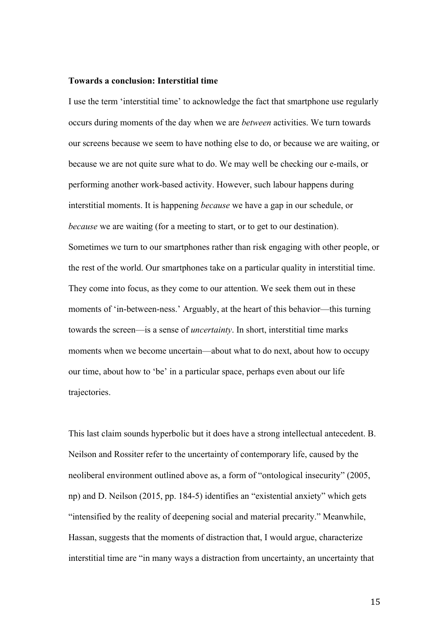### **Towards a conclusion: Interstitial time**

I use the term 'interstitial time' to acknowledge the fact that smartphone use regularly occurs during moments of the day when we are *between* activities. We turn towards our screens because we seem to have nothing else to do, or because we are waiting, or because we are not quite sure what to do. We may well be checking our e-mails, or performing another work-based activity. However, such labour happens during interstitial moments. It is happening *because* we have a gap in our schedule, or *because* we are waiting (for a meeting to start, or to get to our destination). Sometimes we turn to our smartphones rather than risk engaging with other people, or the rest of the world. Our smartphones take on a particular quality in interstitial time. They come into focus, as they come to our attention. We seek them out in these moments of 'in-between-ness.' Arguably, at the heart of this behavior—this turning towards the screen—is a sense of *uncertainty*. In short, interstitial time marks moments when we become uncertain—about what to do next, about how to occupy our time, about how to 'be' in a particular space, perhaps even about our life trajectories.

This last claim sounds hyperbolic but it does have a strong intellectual antecedent. B. Neilson and Rossiter refer to the uncertainty of contemporary life, caused by the neoliberal environment outlined above as, a form of "ontological insecurity" (2005, np) and D. Neilson (2015, pp. 184-5) identifies an "existential anxiety" which gets "intensified by the reality of deepening social and material precarity." Meanwhile, Hassan, suggests that the moments of distraction that, I would argue, characterize interstitial time are "in many ways a distraction from uncertainty, an uncertainty that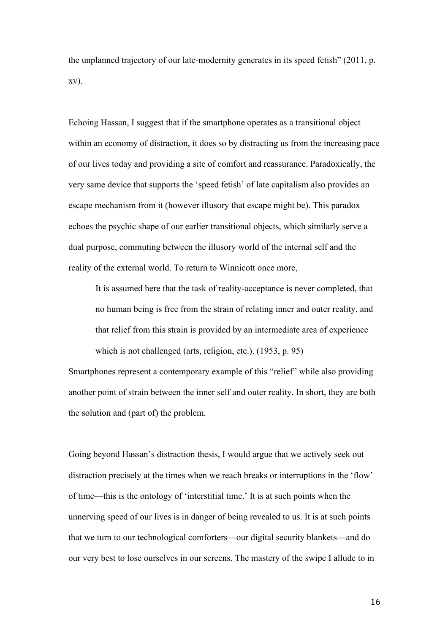the unplanned trajectory of our late-modernity generates in its speed fetish" (2011, p. xv).

Echoing Hassan, I suggest that if the smartphone operates as a transitional object within an economy of distraction, it does so by distracting us from the increasing pace of our lives today and providing a site of comfort and reassurance. Paradoxically, the very same device that supports the 'speed fetish' of late capitalism also provides an escape mechanism from it (however illusory that escape might be). This paradox echoes the psychic shape of our earlier transitional objects, which similarly serve a dual purpose, commuting between the illusory world of the internal self and the reality of the external world. To return to Winnicott once more,

It is assumed here that the task of reality-acceptance is never completed, that no human being is free from the strain of relating inner and outer reality, and that relief from this strain is provided by an intermediate area of experience which is not challenged (arts, religion, etc.). (1953, p. 95)

Smartphones represent a contemporary example of this "relief" while also providing another point of strain between the inner self and outer reality. In short, they are both the solution and (part of) the problem.

Going beyond Hassan's distraction thesis, I would argue that we actively seek out distraction precisely at the times when we reach breaks or interruptions in the 'flow' of time—this is the ontology of 'interstitial time.' It is at such points when the unnerving speed of our lives is in danger of being revealed to us. It is at such points that we turn to our technological comforters—our digital security blankets—and do our very best to lose ourselves in our screens. The mastery of the swipe I allude to in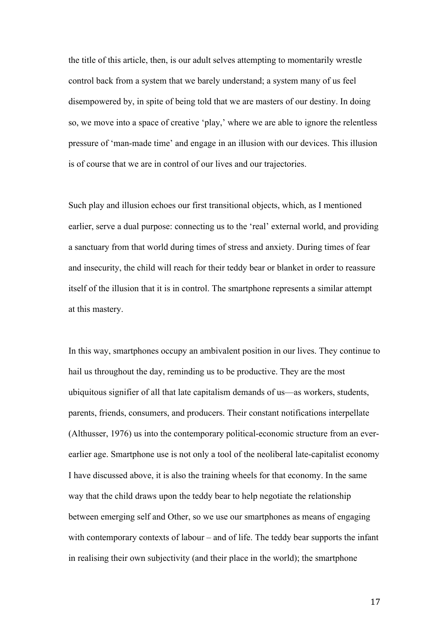the title of this article, then, is our adult selves attempting to momentarily wrestle control back from a system that we barely understand; a system many of us feel disempowered by, in spite of being told that we are masters of our destiny. In doing so, we move into a space of creative 'play,' where we are able to ignore the relentless pressure of 'man-made time' and engage in an illusion with our devices. This illusion is of course that we are in control of our lives and our trajectories.

Such play and illusion echoes our first transitional objects, which, as I mentioned earlier, serve a dual purpose: connecting us to the 'real' external world, and providing a sanctuary from that world during times of stress and anxiety. During times of fear and insecurity, the child will reach for their teddy bear or blanket in order to reassure itself of the illusion that it is in control. The smartphone represents a similar attempt at this mastery.

In this way, smartphones occupy an ambivalent position in our lives. They continue to hail us throughout the day, reminding us to be productive. They are the most ubiquitous signifier of all that late capitalism demands of us—as workers, students, parents, friends, consumers, and producers. Their constant notifications interpellate (Althusser, 1976) us into the contemporary political-economic structure from an everearlier age. Smartphone use is not only a tool of the neoliberal late-capitalist economy I have discussed above, it is also the training wheels for that economy. In the same way that the child draws upon the teddy bear to help negotiate the relationship between emerging self and Other, so we use our smartphones as means of engaging with contemporary contexts of labour – and of life. The teddy bear supports the infant in realising their own subjectivity (and their place in the world); the smartphone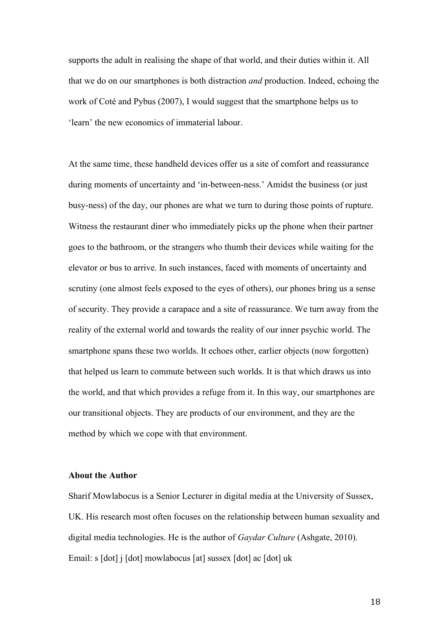supports the adult in realising the shape of that world, and their duties within it. All that we do on our smartphones is both distraction *and* production. Indeed, echoing the work of Coté and Pybus (2007), I would suggest that the smartphone helps us to 'learn' the new economics of immaterial labour.

At the same time, these handheld devices offer us a site of comfort and reassurance during moments of uncertainty and 'in-between-ness.' Amidst the business (or just busy-ness) of the day, our phones are what we turn to during those points of rupture. Witness the restaurant diner who immediately picks up the phone when their partner goes to the bathroom, or the strangers who thumb their devices while waiting for the elevator or bus to arrive. In such instances, faced with moments of uncertainty and scrutiny (one almost feels exposed to the eyes of others), our phones bring us a sense of security. They provide a carapace and a site of reassurance. We turn away from the reality of the external world and towards the reality of our inner psychic world. The smartphone spans these two worlds. It echoes other, earlier objects (now forgotten) that helped us learn to commute between such worlds. It is that which draws us into the world, and that which provides a refuge from it. In this way, our smartphones are our transitional objects. They are products of our environment, and they are the method by which we cope with that environment.

### **About the Author**

Sharif Mowlabocus is a Senior Lecturer in digital media at the University of Sussex, UK. His research most often focuses on the relationship between human sexuality and digital media technologies. He is the author of *Gaydar Culture* (Ashgate, 2010). Email: s [dot] j [dot] mowlabocus [at] sussex [dot] ac [dot] uk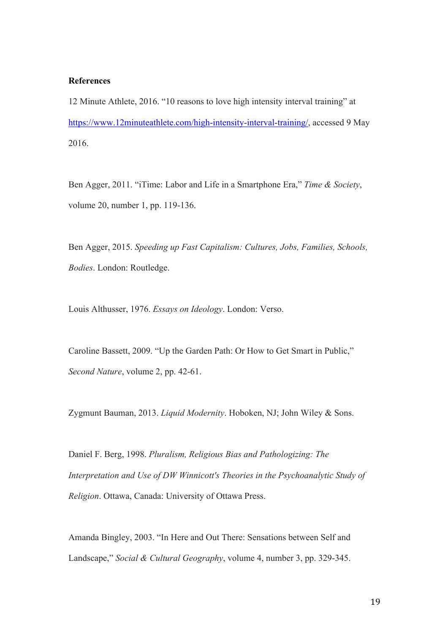## **References**

12 Minute Athlete, 2016. "10 reasons to love high intensity interval training" at https://www.12minuteathlete.com/high-intensity-interval-training/, accessed 9 May 2016.

Ben Agger, 2011. "iTime: Labor and Life in a Smartphone Era," *Time & Society*, volume 20, number 1, pp. 119-136.

Ben Agger, 2015. *Speeding up Fast Capitalism: Cultures, Jobs, Families, Schools, Bodies*. London: Routledge.

Louis Althusser, 1976. *Essays on Ideology*. London: Verso.

Caroline Bassett, 2009. "Up the Garden Path: Or How to Get Smart in Public," *Second Nature*, volume 2, pp. 42-61.

Zygmunt Bauman, 2013. *Liquid Modernity*. Hoboken, NJ; John Wiley & Sons.

Daniel F. Berg, 1998. *Pluralism, Religious Bias and Pathologizing: The Interpretation and Use of DW Winnicott's Theories in the Psychoanalytic Study of Religion*. Ottawa, Canada: University of Ottawa Press.

Amanda Bingley, 2003. "In Here and Out There: Sensations between Self and Landscape," *Social & Cultural Geography*, volume 4, number 3, pp. 329-345.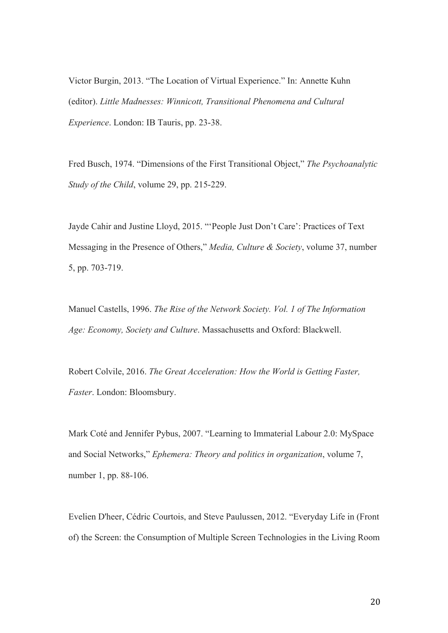Victor Burgin, 2013. "The Location of Virtual Experience." In: Annette Kuhn (editor). *Little Madnesses: Winnicott, Transitional Phenomena and Cultural Experience*. London: IB Tauris, pp. 23-38.

Fred Busch, 1974. "Dimensions of the First Transitional Object," *The Psychoanalytic Study of the Child*, volume 29, pp. 215-229.

Jayde Cahir and Justine Lloyd, 2015. "'People Just Don't Care': Practices of Text Messaging in the Presence of Others," *Media, Culture & Society*, volume 37, number 5, pp. 703-719.

Manuel Castells, 1996. *The Rise of the Network Society. Vol. 1 of The Information Age: Economy, Society and Culture*. Massachusetts and Oxford: Blackwell.

Robert Colvile, 2016. *The Great Acceleration: How the World is Getting Faster, Faster*. London: Bloomsbury.

Mark Coté and Jennifer Pybus, 2007. "Learning to Immaterial Labour 2.0: MySpace and Social Networks," *Ephemera: Theory and politics in organization*, volume 7, number 1, pp. 88-106.

Evelien D'heer, Cédric Courtois, and Steve Paulussen, 2012. "Everyday Life in (Front of) the Screen: the Consumption of Multiple Screen Technologies in the Living Room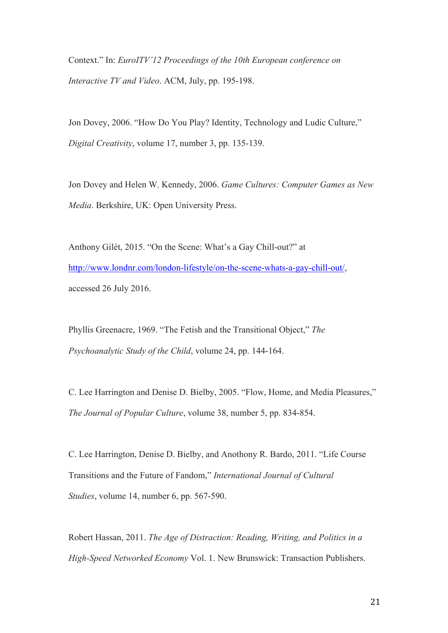Context." In: *EuroITV'12 Proceedings of the 10th European conference on Interactive TV and Video*. ACM, July, pp. 195-198.

Jon Dovey, 2006. "How Do You Play? Identity, Technology and Ludic Culture," *Digital Creativity*, volume 17, number 3, pp. 135-139.

Jon Dovey and Helen W. Kennedy, 2006. *Game Cultures: Computer Games as New Media*. Berkshire, UK: Open University Press.

Anthony Gilét, 2015. "On the Scene: What's a Gay Chill-out?" at http://www.londnr.com/london-lifestyle/on-the-scene-whats-a-gay-chill-out/, accessed 26 July 2016.

Phyllis Greenacre, 1969. "The Fetish and the Transitional Object," *The Psychoanalytic Study of the Child*, volume 24, pp. 144-164.

C. Lee Harrington and Denise D. Bielby, 2005. "Flow, Home, and Media Pleasures," *The Journal of Popular Culture*, volume 38, number 5, pp. 834-854.

C. Lee Harrington, Denise D. Bielby, and Anothony R. Bardo, 2011. "Life Course Transitions and the Future of Fandom," *International Journal of Cultural Studies*, volume 14, number 6, pp. 567-590.

Robert Hassan, 2011. *The Age of Distraction: Reading, Writing, and Politics in a High-Speed Networked Economy* Vol. 1. New Brunswick: Transaction Publishers.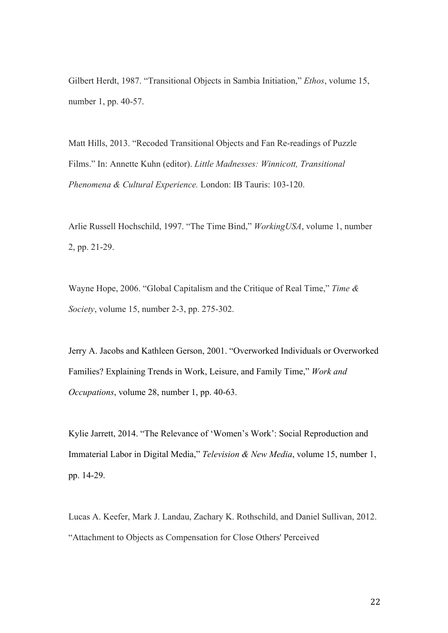Gilbert Herdt, 1987. "Transitional Objects in Sambia Initiation," *Ethos*, volume 15, number 1, pp. 40-57.

Matt Hills, 2013. "Recoded Transitional Objects and Fan Re-readings of Puzzle Films." In: Annette Kuhn (editor). *Little Madnesses: Winnicott, Transitional Phenomena & Cultural Experience.* London: IB Tauris: 103-120.

Arlie Russell Hochschild, 1997. "The Time Bind," *WorkingUSA*, volume 1, number 2, pp. 21-29.

Wayne Hope, 2006. "Global Capitalism and the Critique of Real Time," *Time & Society*, volume 15, number 2-3, pp. 275-302.

Jerry A. Jacobs and Kathleen Gerson, 2001. "Overworked Individuals or Overworked Families? Explaining Trends in Work, Leisure, and Family Time," *Work and Occupations*, volume 28, number 1, pp. 40-63.

Kylie Jarrett, 2014. "The Relevance of 'Women's Work': Social Reproduction and Immaterial Labor in Digital Media," *Television & New Media*, volume 15, number 1, pp. 14-29.

Lucas A. Keefer, Mark J. Landau, Zachary K. Rothschild, and Daniel Sullivan, 2012. "Attachment to Objects as Compensation for Close Others' Perceived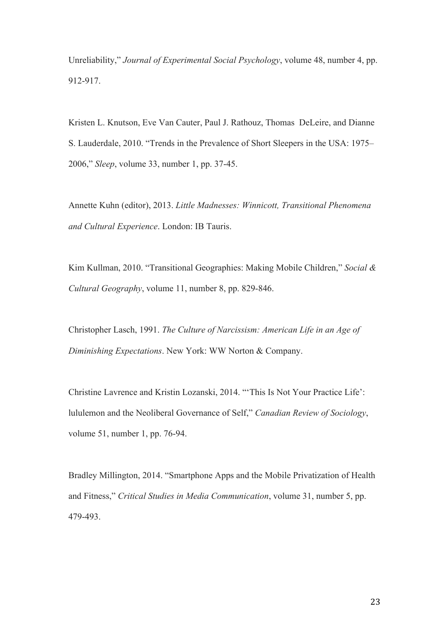Unreliability," *Journal of Experimental Social Psychology*, volume 48, number 4, pp. 912-917.

Kristen L. Knutson, Eve Van Cauter, Paul J. Rathouz, Thomas DeLeire, and Dianne S. Lauderdale, 2010. "Trends in the Prevalence of Short Sleepers in the USA: 1975– 2006," *Sleep*, volume 33, number 1, pp. 37-45.

Annette Kuhn (editor), 2013. *Little Madnesses: Winnicott, Transitional Phenomena and Cultural Experience*. London: IB Tauris.

Kim Kullman, 2010. "Transitional Geographies: Making Mobile Children," *Social & Cultural Geography*, volume 11, number 8, pp. 829-846.

Christopher Lasch, 1991. *The Culture of Narcissism: American Life in an Age of Diminishing Expectations*. New York: WW Norton & Company.

Christine Lavrence and Kristin Lozanski, 2014. "'This Is Not Your Practice Life': lululemon and the Neoliberal Governance of Self," *Canadian Review of Sociology*, volume 51, number 1, pp. 76-94.

Bradley Millington, 2014. "Smartphone Apps and the Mobile Privatization of Health and Fitness," *Critical Studies in Media Communication*, volume 31, number 5, pp. 479-493.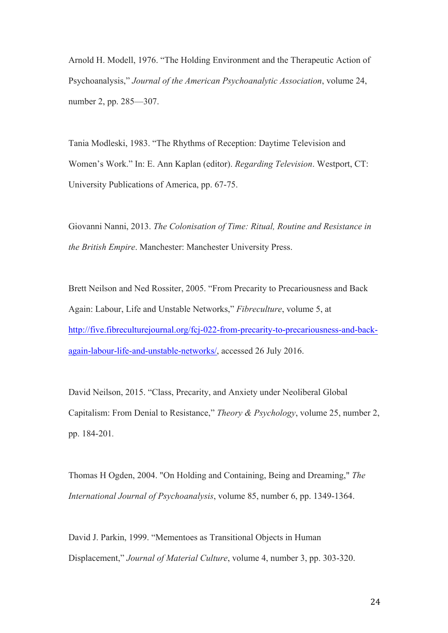Arnold H. Modell, 1976. "The Holding Environment and the Therapeutic Action of Psychoanalysis," *Journal of the American Psychoanalytic Association*, volume 24, number 2, pp. 285—307.

Tania Modleski, 1983. "The Rhythms of Reception: Daytime Television and Women's Work." In: E. Ann Kaplan (editor). *Regarding Television*. Westport, CT: University Publications of America, pp. 67-75.

Giovanni Nanni, 2013. *The Colonisation of Time: Ritual, Routine and Resistance in the British Empire*. Manchester: Manchester University Press.

Brett Neilson and Ned Rossiter, 2005. "From Precarity to Precariousness and Back Again: Labour, Life and Unstable Networks," *Fibreculture*, volume 5, at http://five.fibreculturejournal.org/fcj-022-from-precarity-to-precariousness-and-backagain-labour-life-and-unstable-networks/, accessed 26 July 2016.

David Neilson, 2015. "Class, Precarity, and Anxiety under Neoliberal Global Capitalism: From Denial to Resistance," *Theory & Psychology*, volume 25, number 2, pp. 184-201*.* 

Thomas H Ogden, 2004. "On Holding and Containing, Being and Dreaming," *The International Journal of Psychoanalysis*, volume 85, number 6, pp. 1349-1364.

David J. Parkin, 1999. "Mementoes as Transitional Objects in Human Displacement," *Journal of Material Culture*, volume 4, number 3, pp. 303-320.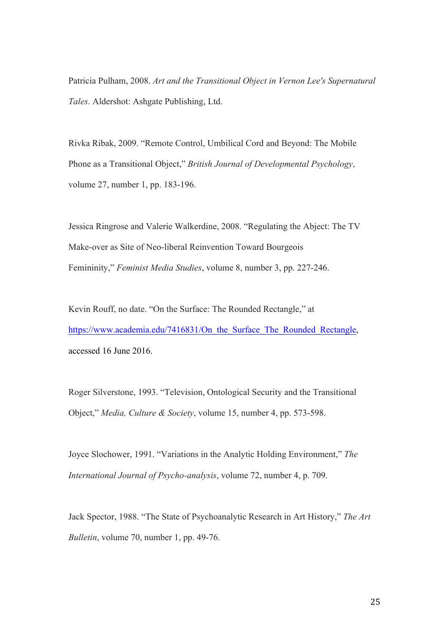Patricia Pulham, 2008. *Art and the Transitional Object in Vernon Lee's Supernatural Tales*. Aldershot: Ashgate Publishing, Ltd.

Rivka Ribak, 2009. "Remote Control, Umbilical Cord and Beyond: The Mobile Phone as a Transitional Object," *British Journal of Developmental Psychology*, volume 27, number 1, pp. 183-196.

Jessica Ringrose and Valerie Walkerdine, 2008. "Regulating the Abject: The TV Make-over as Site of Neo-liberal Reinvention Toward Bourgeois Femininity," *Feminist Media Studies*, volume 8, number 3, pp. 227-246.

Kevin Rouff, no date. "On the Surface: The Rounded Rectangle," at https://www.academia.edu/7416831/On\_the\_Surface\_The\_Rounded\_Rectangle, accessed 16 June 2016.

Roger Silverstone, 1993. "Television, Ontological Security and the Transitional Object," *Media, Culture & Society*, volume 15, number 4, pp. 573-598.

Joyce Slochower, 1991. "Variations in the Analytic Holding Environment," *The International Journal of Psycho-analysis*, volume 72, number 4, p. 709.

Jack Spector, 1988. "The State of Psychoanalytic Research in Art History," *The Art Bulletin*, volume 70, number 1, pp. 49-76.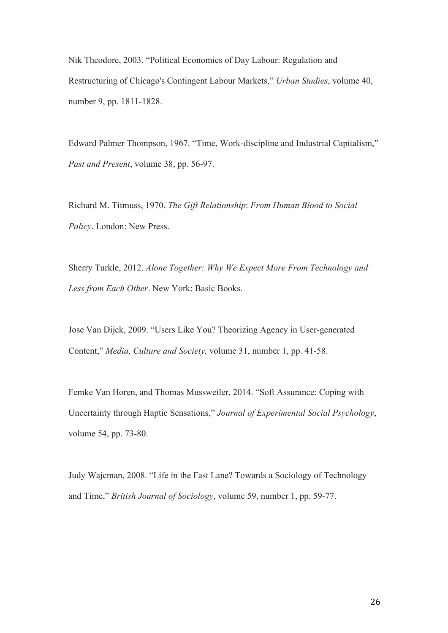Nik Theodore, 2003. "Political Economies of Day Labour: Regulation and Restructuring of Chicago's Contingent Labour Markets," *Urban Studies*, volume 40, number 9, pp. 1811-1828.

Edward Palmer Thompson, 1967. "Time, Work-discipline and Industrial Capitalism," *Past and Present*, volume 38, pp. 56-97.

Richard M. Titmuss, 1970. *The Gift Relationship*: *From Human Blood to Social Policy*. London: New Press.

Sherry Turkle, 2012. *Alone Together: Why We Expect More From Technology and Less from Each Other*. New York: Basic Books.

Jose Van Dijck, 2009. "Users Like You? Theorizing Agency in User-generated Content," *Media, Culture and Society,* volume 31, number 1, pp. 41-58.

Femke Van Horen, and Thomas Mussweiler, 2014. "Soft Assurance: Coping with Uncertainty through Haptic Sensations," *Journal of Experimental Social Psychology*, volume 54, pp. 73-80.

Judy Wajcman, 2008. "Life in the Fast Lane? Towards a Sociology of Technology and Time," *British Journal of Sociology*, volume 59, number 1, pp. 59-77.